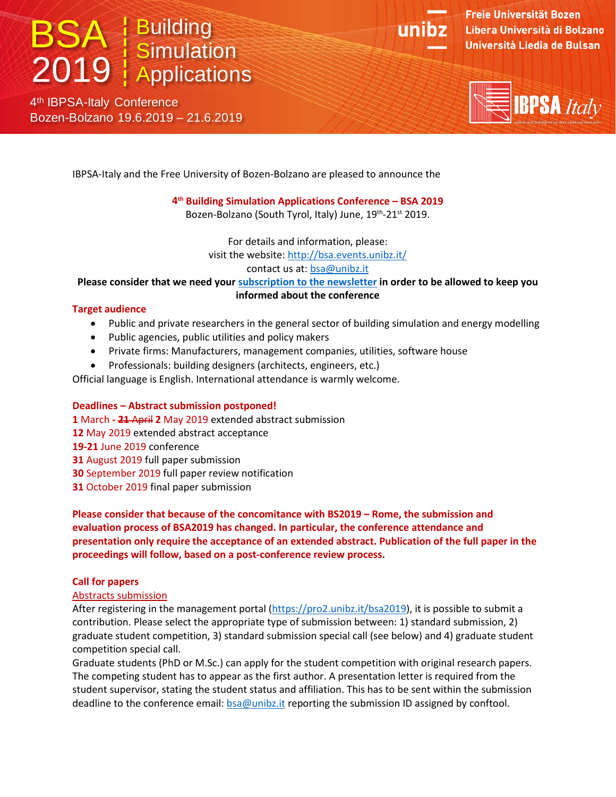# **BSA** Building 2019 Simulation<br>2019 Applications

4<sup>th</sup> IBPSA-Italy Conference Bozen-Bolzano 19.6.2019 – 21.6.2019



Freie Universität Bozen Libera Università di Bolzano Università Liedia de Bulsan



IBPSA-Italy and the Free University of Bozen-Bolzano are pleased to announce the

# **4th Building Simulation Applications Conference – BSA 2019**

Bozen-Bolzano (South Tyrol, Italy) June, 19<sup>th</sup>-21<sup>st</sup> 2019.

For details and information, please: visit the website:<http://bsa.events.unibz.it/> contact us at: [bsa@unibz.it](mailto:bsa@unibz.it)

**Please consider that we need your subscription to the newsletter in order to be allowed to keep you** 

## **informed about the conference**

## **Target audience**

- Public and private researchers in the general sector of building simulation and energy modelling
- Public agencies, public utilities and policy makers
- Private firms: Manufacturers, management companies, utilities, software house
- Professionals: building designers (architects, engineers, etc.)

Official language is English. International attendance is warmly welcome.

# **Deadlines – Abstract submission postponed!**

March **- 21** April **2** May 2019 extended abstract submission May 2019 extended abstract acceptance **19-21** June 2019 conference August 2019 full paper submission September 2019 full paper review notification October 2019 final paper submission

**Please consider that because of the concomitance with BS2019 – Rome, the submission and evaluation process of BSA2019 has changed. In particular, the conference attendance and presentation only require the acceptance of an extended abstract. Publication of the full paper in the proceedings will follow, based on a post-conference review process.**

# **Call for papers**

## Abstracts submission

After registering in the management portal [\(https://pro2.unibz.it/bsa2019\)](https://pro2.unibz.it/bsa2019), it is possible to submit a contribution. Please select the appropriate type of submission between: 1) standard submission, 2) graduate student competition, 3) standard submission special call (see below) and 4) graduate student competition special call.

Graduate students (PhD or M.Sc.) can apply for the student competition with original research papers. The competing student has to appear as the first author. A presentation letter is required from the student supervisor, stating the student status and affiliation. This has to be sent within the submission deadline to the conference email: [bsa@unibz.it](mailto:bsa@unibz.it) reporting the submission ID assigned by conftool.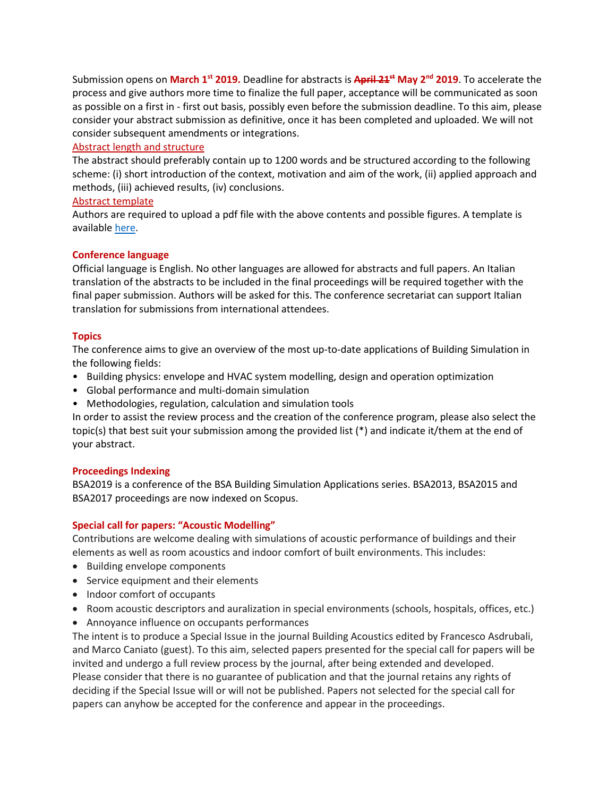Submission opens on **March 1st 2019.** Deadline for abstracts is **April 21st May 2nd 2019**. To accelerate the process and give authors more time to finalize the full paper, acceptance will be communicated as soon as possible on a first in - first out basis, possibly even before the submission deadline. To this aim, please consider your abstract submission as definitive, once it has been completed and uploaded. We will not consider subsequent amendments or integrations.

### Abstract length and structure

The abstract should preferably contain up to 1200 words and be structured according to the following scheme: (i) short introduction of the context, motivation and aim of the work, (ii) applied approach and methods, (iii) achieved results, (iv) conclusions.

### Abstract template

Authors are required to upload a pdf file with the above contents and possible figures. A template is available [here.](http://bsa.events.unibz.it/wp-content/uploads/2019/02/Abstract-template.docx)

## **Conference language**

Official language is English. No other languages are allowed for abstracts and full papers. An Italian translation of the abstracts to be included in the final proceedings will be required together with the final paper submission. Authors will be asked for this. The conference secretariat can support Italian translation for submissions from international attendees.

## **Topics**

The conference aims to give an overview of the most up-to-date applications of Building Simulation in the following fields:

- Building physics: envelope and HVAC system modelling, design and operation optimization
- Global performance and multi-domain simulation
- Methodologies, regulation, calculation and simulation tools

In order to assist the review process and the creation of the conference program, please also select the topic(s) that best suit your submission among the provided list (\*) and indicate it/them at the end of your abstract.

## **Proceedings Indexing**

BSA2019 is a conference of the BSA Building Simulation Applications series. BSA2013, BSA2015 and BSA2017 proceedings are now indexed on Scopus.

## **Special call for papers: "Acoustic Modelling"**

Contributions are welcome dealing with simulations of acoustic performance of buildings and their elements as well as room acoustics and indoor comfort of built environments. This includes:

- Building envelope components
- Service equipment and their elements
- Indoor comfort of occupants
- Room acoustic descriptors and auralization in special environments (schools, hospitals, offices, etc.)
- Annoyance influence on occupants performances

The intent is to produce a Special Issue in the journal Building Acoustics edited by Francesco Asdrubali, and Marco Caniato (guest). To this aim, selected papers presented for the special call for papers will be invited and undergo a full review process by the journal, after being extended and developed. Please consider that there is no guarantee of publication and that the journal retains any rights of deciding if the Special Issue will or will not be published. Papers not selected for the special call for papers can anyhow be accepted for the conference and appear in the proceedings.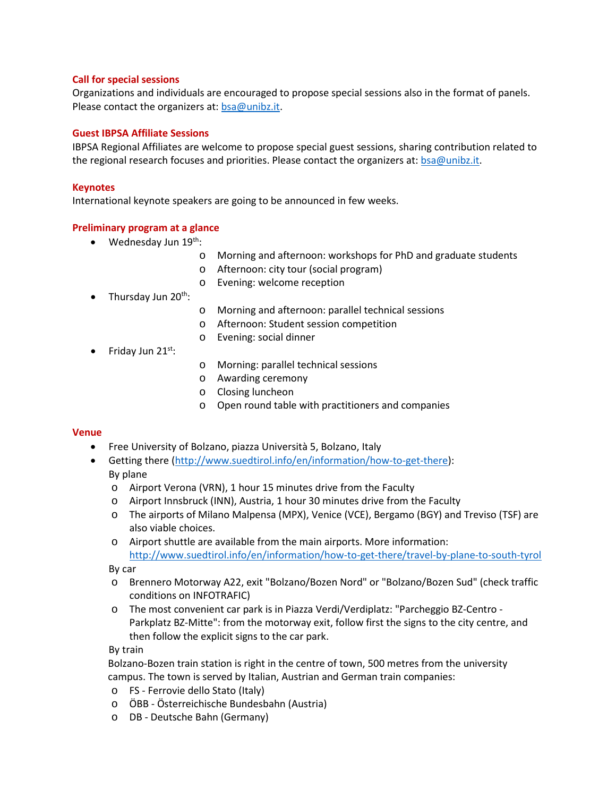#### **Call for special sessions**

Organizations and individuals are encouraged to propose special sessions also in the format of panels. Please contact the organizers at: [bsa@unibz.it.](mailto:bsa@unibz.it)

#### **Guest IBPSA Affiliate Sessions**

IBPSA Regional Affiliates are welcome to propose special guest sessions, sharing contribution related to the regional research focuses and priorities. Please contact the organizers at: [bsa@unibz.it.](mailto:bsa@unibz.it)

#### **Keynotes**

International keynote speakers are going to be announced in few weeks.

#### **Preliminary program at a glance**

- Wednesday Jun  $19^{th}$ :
	- o Morning and afternoon: workshops for PhD and graduate students
	- o Afternoon: city tour (social program)
	- o Evening: welcome reception
- Thursday Jun  $20^{th}$ :
- o Morning and afternoon: parallel technical sessions
- o Afternoon: Student session competition
- o Evening: social dinner
- Friday Jun  $21^{st}$ :
- o Morning: parallel technical sessions
- o Awarding ceremony
- o Closing luncheon
- o Open round table with practitioners and companies

#### **Venue**

- Free University of Bolzano, piazza Università 5, Bolzano, Italy
- Getting there [\(http://www.suedtirol.info/en/information/how-to-get-there\)](http://www.suedtirol.info/en/information/how-to-get-there): By plane
	- o Airport Verona (VRN), 1 hour 15 minutes drive from the Faculty
	- o Airport Innsbruck (INN), Austria, 1 hour 30 minutes drive from the Faculty
	- o The airports of Milano Malpensa (MPX), Venice (VCE), Bergamo (BGY) and Treviso (TSF) are also viable choices.
	- o Airport shuttle are available from the main airports. More information: <http://www.suedtirol.info/en/information/how-to-get-there/travel-by-plane-to-south-tyrol>

By car

- o Brennero Motorway A22, exit "Bolzano/Bozen Nord" or "Bolzano/Bozen Sud" (check traffic conditions on INFOTRAFIC)
- o The most convenient car park is in Piazza Verdi/Verdiplatz: "Parcheggio BZ-Centro Parkplatz BZ-Mitte": from the motorway exit, follow first the signs to the city centre, and then follow the explicit signs to the car park.

#### By train

Bolzano-Bozen train station is right in the centre of town, 500 metres from the university campus. The town is served by Italian, Austrian and German train companies:

- o FS Ferrovie dello Stato (Italy)
- o ÖBB Österreichische Bundesbahn (Austria)
- o DB Deutsche Bahn (Germany)